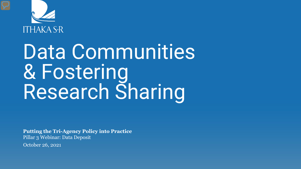

# Data Communities & Fostering Research Sharing

**Putting the Tri-Agency Policy into Practice**  Pillar 3 Webinar: Data Deposit

October 26, 2021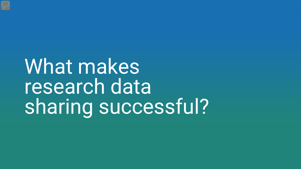What makes research data sharing successful?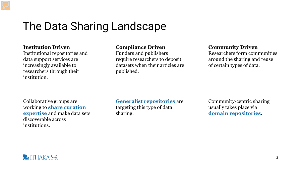### The Data Sharing Landscape

#### **Institution Driven**

Institutional repositories and data support services are increasingly available to researchers through their institution.

#### **Compliance Driven**

Funders and publishers require researchers to deposit datasets when their articles are published.

#### **Community Driven**

Researchers form communities around the sharing and reuse of certain types of data.

Collaborative groups are working to **share curation expertise** and make data sets discoverable across institutions.

**Generalist repositories** are targeting this type of data sharing.

Community-centric sharing usually takes place via **domain repositories**.

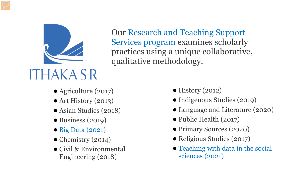

Our Research and Teaching Support Services program examines scholarly practices using a unique collaborative, qualitative methodology.

- Agriculture (2017)
- $\bullet$  Art History (2013)
- Asian Studies (2018)
- $\bullet$  Business (2019)
- Big Data (2021)
- $\bullet$  Chemistry (2014)
- Civil & Environmental Engineering (2018)
- $\bullet$  History (2012)
- Indigenous Studies (2019)
- Language and Literature (2020)
- Public Health (2017)
- Primary Sources (2020)
- Religious Studies (2017)
- Teaching with data in the social sciences (2021)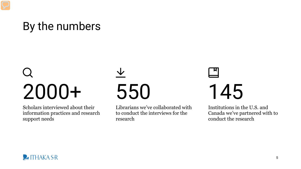## By the numbers

# 2000+

Scholars interviewed about their information practices and research support needs

# 550

Librarians we've collaborated with to conduct the interviews for the research

# 145

Institutions in the U.S. and Canada we've partnered with to conduct the research

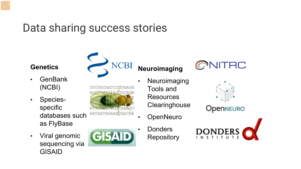## Data sharing success stories

#### **Genetics**

- GenBank (NCBI)
- Speciesspecific databases such as FlyBase
- Viral genomic sequencing via GISAID



MATMANMANACIO



#### **Neuroimaging**

- Neuroimaging Tools and **Resources Clearinghouse** 
	- **OpenNeuro**
	- **Donders Repository**





**OpenNEURO** 

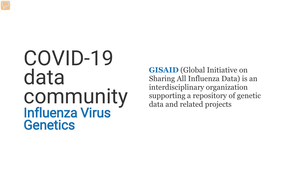## COVID-19 data community Influenza Virus **Genetics**

**GISAID** (Global Initiative on Sharing All Influenza Data) is an interdisciplinary organization supporting a repository of genetic data and related projects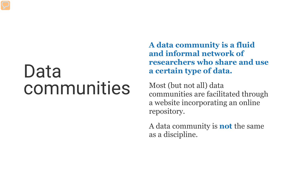## Data communities

**A data community is a fluid and informal network of researchers who share and use a certain type of data.**

Most (but not all) data communities are facilitated through a website incorporating an online repository.

A data community is **not** the same as a discipline.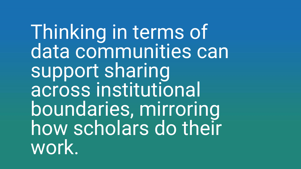Thinking in terms of data communities can support sharing across institutional boundaries, mirroring how scholars do their work.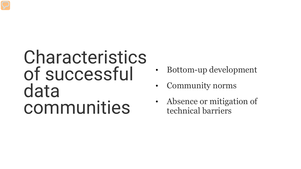## Characteristics of successful data communities

- Bottom-up development
- Community norms
- Absence or mitigation of technical barriers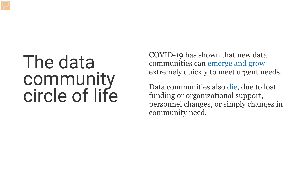## The data community circle of life

COVID-19 has shown that new data communities can emerge and grow extremely quickly to meet urgent needs.

Data communities also die, due to lost funding or organizational support, personnel changes, or simply changes in community need.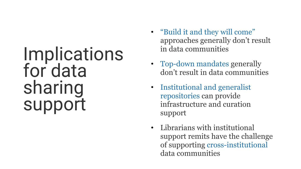## **Implications** for data sharing support

- "Build it and they will come" approaches generally don't result in data communities
- Top-down mandates generally don't result in data communities
- Institutional and generalist repositories can provide infrastructure and curation support
- Librarians with institutional support remits have the challenge of supporting cross-institutional data communities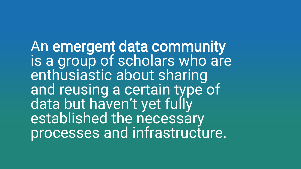An emergent data community is a group of scholars who are enthusiastic about sharing and reusing a certain type of data but haven't yet fully established the necessary processes and infrastructure.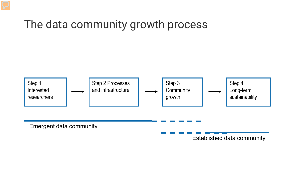### The data community growth process



Established data community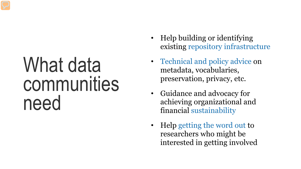## What data communities need

- Help building or identifying existing repository infrastructure
- Technical and policy advice on metadata, vocabularies, preservation, privacy, etc.
- Guidance and advocacy for achieving organizational and financial sustainability
- Help getting the word out to researchers who might be interested in getting involved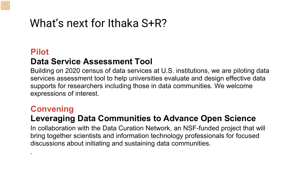## What's next for Ithaka S+R?

#### **Pilot Data Service Assessment Tool**

Building on 2020 census of data services at U.S. institutions, we are piloting data services assessment tool to help universities evaluate and design effective data supports for researchers including those in data communities. We welcome expressions of interest.

#### **Convening**

.

#### **Leveraging Data Communities to Advance Open Science**

In collaboration with the Data Curation Network, an NSF-funded project that will bring together scientists and information technology professionals for focused discussions about initiating and sustaining data communities.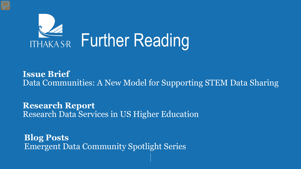

**Issue Brief** Data Communities: A New Model for Supporting STEM Data Sharing

**Research Report** Research Data Services in US Higher Education

**Blog Posts** Emergent Data Community Spotlight Series